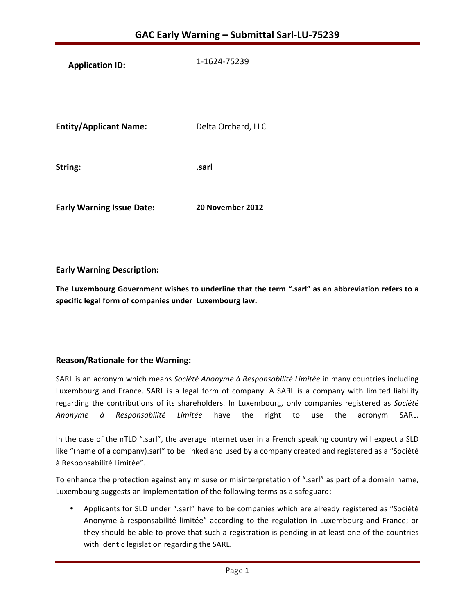**Application ID:** 1-1624-75239

**Entity/Applicant Name:** Delta Orchard, LLC

**String: .sarl**

**Early Warning Issue Date:** 20 November 2012

**Early Warning Description:**

The Luxembourg Government wishes to underline that the term ".sarl" as an abbreviation refers to a **specific legal form of companies under Luxembourg law.**

# **Reason/Rationale for the Warning:**

SARL is an acronym which means Société Anonyme à Responsabilité Limitée in many countries including Luxembourg and France. SARL is a legal form of company. A SARL is a company with limited liability regarding the contributions of its shareholders. In Luxembourg, only companies registered as Société *Anonyme à Responsabilité Limitée* have the right to use the acronym SARL.

In the case of the nTLD ".sarl", the average internet user in a French speaking country will expect a SLD like "(name of a company).sarl" to be linked and used by a company created and registered as a "Société à Responsabilité Limitée".

To enhance the protection against any misuse or misinterpretation of ".sarl" as part of a domain name, Luxembourg suggests an implementation of the following terms as a safeguard:

• Applicants for SLD under ".sarl" have to be companies which are already registered as "Société Anonyme à responsabilité limitée" according to the regulation in Luxembourg and France; or they should be able to prove that such a registration is pending in at least one of the countries with identic legislation regarding the SARL.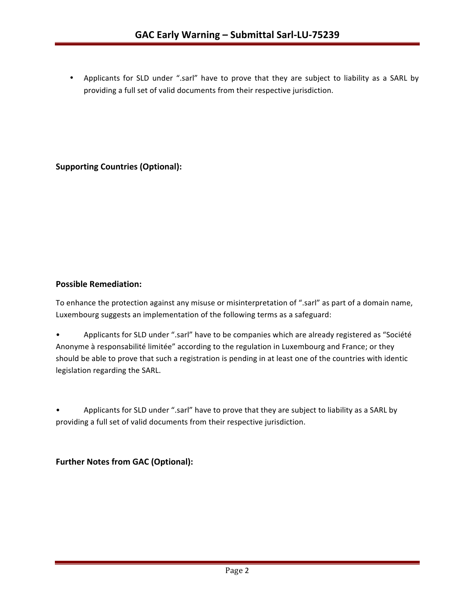• Applicants for SLD under ".sarl" have to prove that they are subject to liability as a SARL by providing a full set of valid documents from their respective jurisdiction.

**Supporting Countries (Optional):** 

## **Possible Remediation:**

To enhance the protection against any misuse or misinterpretation of ".sarl" as part of a domain name, Luxembourg suggests an implementation of the following terms as a safeguard:

• Applicants for SLD under ".sarl" have to be companies which are already registered as "Société Anonyme à responsabilité limitée" according to the regulation in Luxembourg and France; or they should be able to prove that such a registration is pending in at least one of the countries with identic legislation regarding the SARL.

Applicants for SLD under ".sarl" have to prove that they are subject to liability as a SARL by providing a full set of valid documents from their respective jurisdiction.

**Further Notes from GAC (Optional):**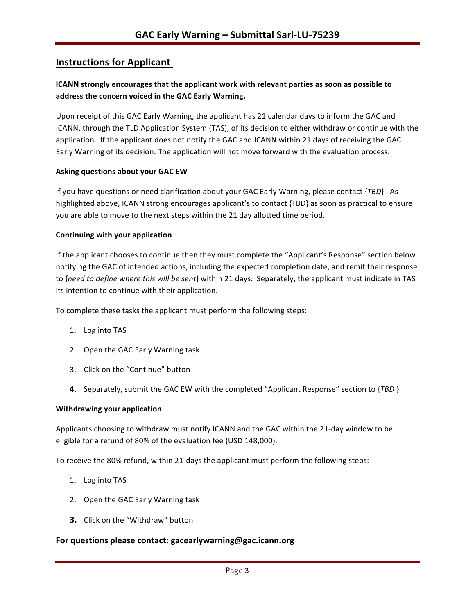# **Instructions for Applicant**

# **ICANN** strongly encourages that the applicant work with relevant parties as soon as possible to address the concern voiced in the GAC Early Warning.

Upon receipt of this GAC Early Warning, the applicant has 21 calendar days to inform the GAC and ICANN, through the TLD Application System (TAS), of its decision to either withdraw or continue with the application. If the applicant does not notify the GAC and ICANN within 21 days of receiving the GAC Early Warning of its decision. The application will not move forward with the evaluation process.

#### **Asking questions about your GAC EW**

If you have questions or need clarification about your GAC Early Warning, please contact {*TBD*}. As highlighted above, ICANN strong encourages applicant's to contact {TBD} as soon as practical to ensure you are able to move to the next steps within the 21 day allotted time period.

#### **Continuing with your application**

If the applicant chooses to continue then they must complete the "Applicant's Response" section below notifying the GAC of intended actions, including the expected completion date, and remit their response to {need to define where this will be sent} within 21 days. Separately, the applicant must indicate in TAS its intention to continue with their application.

To complete these tasks the applicant must perform the following steps:

- 1. Log into TAS
- 2. Open the GAC Early Warning task
- 3. Click on the "Continue" button
- **4.** Separately, submit the GAC EW with the completed "Applicant Response" section to {TBD }

#### **Withdrawing your application**

Applicants choosing to withdraw must notify ICANN and the GAC within the 21-day window to be eligible for a refund of 80% of the evaluation fee (USD 148,000).

To receive the 80% refund, within 21-days the applicant must perform the following steps:

- 1. Log into TAS
- 2. Open the GAC Early Warning task
- **3.** Click on the "Withdraw" button

### For questions please contact: gacearlywarning@gac.icann.org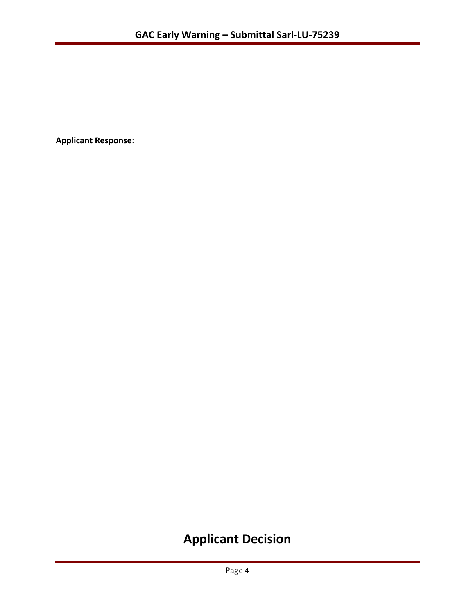**Applicant Response:**

# **Applicant Decision**